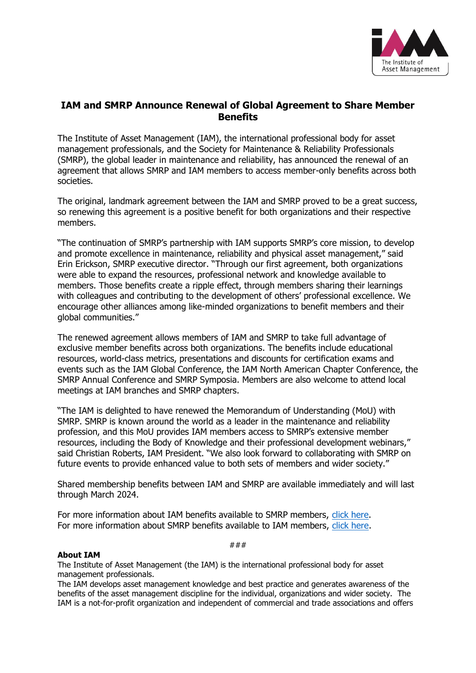

## **IAM and SMRP Announce Renewal of Global Agreement to Share Member Benefits**

The Institute of Asset Management (IAM), the international professional body for asset management professionals, and the Society for Maintenance & Reliability Professionals (SMRP), the global leader in maintenance and reliability, has announced the renewal of an agreement that allows SMRP and IAM members to access member-only benefits across both societies.

The original, landmark agreement between the IAM and SMRP proved to be a great success, so renewing this agreement is a positive benefit for both organizations and their respective members.

"The continuation of SMRP's partnership with IAM supports SMRP's core mission, to develop and promote excellence in maintenance, reliability and physical asset management," said Erin Erickson, SMRP executive director. "Through our first agreement, both organizations were able to expand the resources, professional network and knowledge available to members. Those benefits create a ripple effect, through members sharing their learnings with colleagues and contributing to the development of others' professional excellence. We encourage other alliances among like-minded organizations to benefit members and their global communities."

The renewed agreement allows members of IAM and SMRP to take full advantage of exclusive member benefits across both organizations. The benefits include educational resources, world-class metrics, presentations and discounts for certification exams and events such as the IAM Global Conference, the IAM North American Chapter Conference, the SMRP Annual Conference and SMRP Symposia. Members are also welcome to attend local meetings at IAM branches and SMRP chapters.

"The IAM is delighted to have renewed the Memorandum of Understanding (MoU) with SMRP. SMRP is known around the world as a leader in the maintenance and reliability profession, and this MoU provides IAM members access to SMRP's extensive member resources, including the Body of Knowledge and their professional development webinars," said Christian Roberts, IAM President. "We also look forward to collaborating with SMRP on future events to provide enhanced value to both sets of members and wider society."

Shared membership benefits between IAM and SMRP are available immediately and will last through March 2024.

For more information about IAM benefits available to SMRP members, [click here.](https://theiam.org/membership/individual-membership/) For more information about SMRP benefits available to IAM members, [click here.](https://smrp.org/About/Partners/IAM-Agreement)

###

## **About IAM**

The Institute of Asset Management (the IAM) is the international professional body for asset management professionals.

The IAM develops asset management knowledge and best practice and generates awareness of the benefits of the asset management discipline for the individual, organizations and wider society. The IAM is a not-for-profit organization and independent of commercial and trade associations and offers